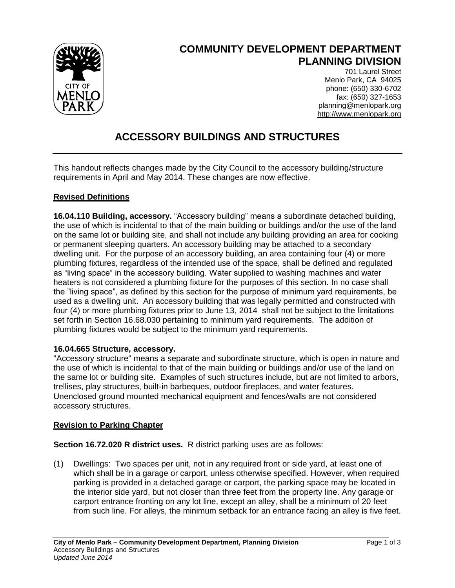

# **COMMUNITY DEVELOPMENT DEPARTMENT PLANNING DIVISION**

701 Laurel Street Menlo Park, CA 94025 phone: (650) 330-6702 fax: (650) 327-1653 planning@menlopark.org http://www.menlopark.org

# **ACCESSORY BUILDINGS AND STRUCTURES**

This handout reflects changes made by the City Council to the accessory building/structure requirements in April and May 2014. These changes are now effective.

### **Revised Definitions**

**16.04.110 Building, accessory.** "Accessory building" means a subordinate detached building, the use of which is incidental to that of the main building or buildings and/or the use of the land on the same lot or building site, and shall not include any building providing an area for cooking or permanent sleeping quarters. An accessory building may be attached to a secondary dwelling unit. For the purpose of an accessory building, an area containing four (4) or more plumbing fixtures, regardless of the intended use of the space, shall be defined and regulated as "living space" in the accessory building. Water supplied to washing machines and water heaters is not considered a plumbing fixture for the purposes of this section. In no case shall the "living space", as defined by this section for the purpose of minimum yard requirements, be used as a dwelling unit. An accessory building that was legally permitted and constructed with four (4) or more plumbing fixtures prior to June 13, 2014 shall not be subject to the limitations set forth in Section 16.68.030 pertaining to minimum yard requirements. The addition of plumbing fixtures would be subject to the minimum yard requirements.

#### **16.04.665 Structure, accessory.**

"Accessory structure" means a separate and subordinate structure, which is open in nature and the use of which is incidental to that of the main building or buildings and/or use of the land on the same lot or building site. Examples of such structures include, but are not limited to arbors, trellises, play structures, built-in barbeques, outdoor fireplaces, and water features. Unenclosed ground mounted mechanical equipment and fences/walls are not considered accessory structures.

### **Revision to Parking Chapter**

**Section 16.72.020 R district uses.** R district parking uses are as follows:

(1) Dwellings: Two spaces per unit, not in any required front or side yard, at least one of which shall be in a garage or carport, unless otherwise specified. However, when required parking is provided in a detached garage or carport, the parking space may be located in the interior side yard, but not closer than three feet from the property line. Any garage or carport entrance fronting on any lot line, except an alley, shall be a minimum of 20 feet from such line. For alleys, the minimum setback for an entrance facing an alley is five feet.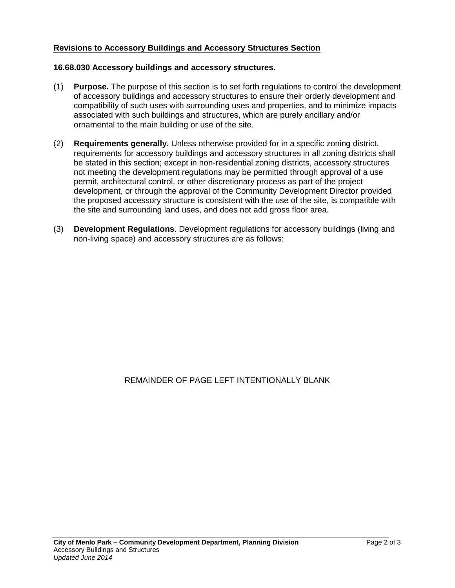#### **Revisions to Accessory Buildings and Accessory Structures Section**

#### **16.68.030 Accessory buildings and accessory structures.**

- (1) **Purpose.** The purpose of this section is to set forth regulations to control the development of accessory buildings and accessory structures to ensure their orderly development and compatibility of such uses with surrounding uses and properties, and to minimize impacts associated with such buildings and structures, which are purely ancillary and/or ornamental to the main building or use of the site.
- (2) **Requirements generally.** Unless otherwise provided for in a specific zoning district, requirements for accessory buildings and accessory structures in all zoning districts shall be stated in this section; except in non-residential zoning districts, accessory structures not meeting the development regulations may be permitted through approval of a use permit, architectural control, or other discretionary process as part of the project development, or through the approval of the Community Development Director provided the proposed accessory structure is consistent with the use of the site, is compatible with the site and surrounding land uses, and does not add gross floor area.
- (3) **Development Regulations**. Development regulations for accessory buildings (living and non-living space) and accessory structures are as follows:

REMAINDER OF PAGE LEFT INTENTIONALLY BLANK